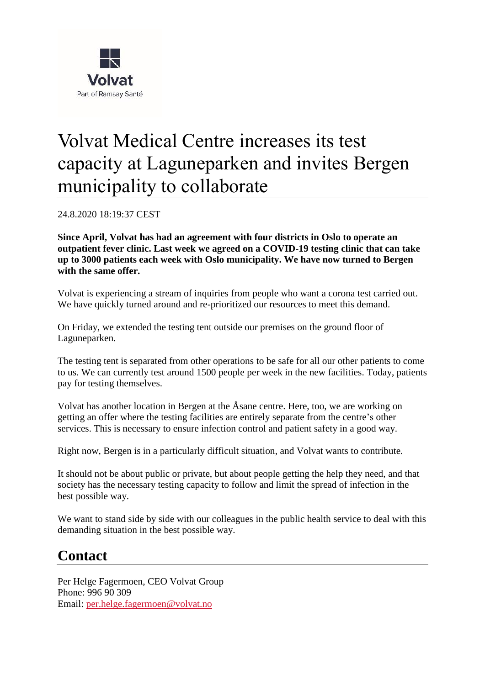

## Volvat Medical Centre increases its test capacity at Laguneparken and invites Bergen municipality to collaborate

24.8.2020 18:19:37 CEST

**Since April, Volvat has had an agreement with four districts in Oslo to operate an outpatient fever clinic. Last week we agreed on a COVID-19 testing clinic that can take up to 3000 patients each week with Oslo municipality. We have now turned to Bergen with the same offer.**

Volvat is experiencing a stream of inquiries from people who want a corona test carried out. We have quickly turned around and re-prioritized our resources to meet this demand.

On Friday, we extended the testing tent outside our premises on the ground floor of Laguneparken.

The testing tent is separated from other operations to be safe for all our other patients to come to us. We can currently test around 1500 people per week in the new facilities. Today, patients pay for testing themselves.

Volvat has another location in Bergen at the Åsane centre. Here, too, we are working on getting an offer where the testing facilities are entirely separate from the centre's other services. This is necessary to ensure infection control and patient safety in a good way.

Right now, Bergen is in a particularly difficult situation, and Volvat wants to contribute.

It should not be about public or private, but about people getting the help they need, and that society has the necessary testing capacity to follow and limit the spread of infection in the best possible way.

We want to stand side by side with our colleagues in the public health service to deal with this demanding situation in the best possible way.

## **Contact**

Per Helge Fagermoen, CEO Volvat Group Phone: 996 90 309 Email: [per.helge.fagermoen@volvat.no](mailto:per.helge.fagermoen@volvat.no)